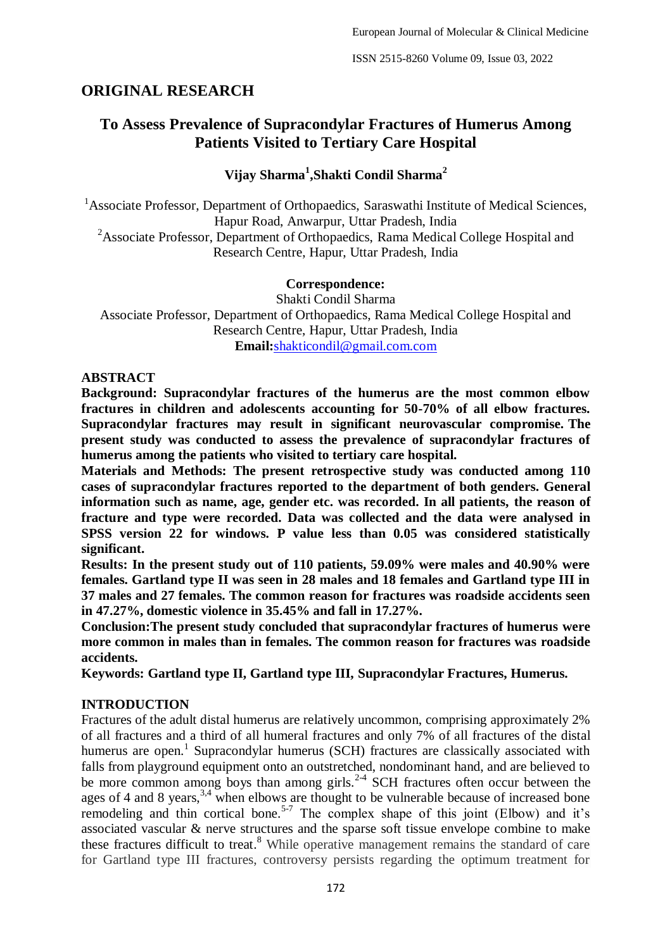# **ORIGINAL RESEARCH**

# **To Assess Prevalence of Supracondylar Fractures of Humerus Among Patients Visited to Tertiary Care Hospital**

# **Vijay Sharma<sup>1</sup> ,Shakti Condil Sharma<sup>2</sup>**

<sup>1</sup> Associate Professor, Department of Orthopaedics, Saraswathi Institute of Medical Sciences, Hapur Road, Anwarpur, Uttar Pradesh, India <sup>2</sup>Associate Professor, Department of Orthopaedics, Rama Medical College Hospital and Research Centre, Hapur, Uttar Pradesh, India

### **Correspondence:**

Shakti Condil Sharma Associate Professor, Department of Orthopaedics, Rama Medical College Hospital and Research Centre, Hapur, Uttar Pradesh, India **Email:**[shakticondil@gmail.com.com](about:blank)

### **ABSTRACT**

**Background: Supracondylar fractures of the humerus are the most common elbow fractures in children and adolescents accounting for 50-70% of all elbow fractures. Supracondylar fractures may result in significant neurovascular compromise. The present study was conducted to assess the prevalence of supracondylar fractures of humerus among the patients who visited to tertiary care hospital.**

**Materials and Methods: The present retrospective study was conducted among 110 cases of supracondylar fractures reported to the department of both genders. General information such as name, age, gender etc. was recorded. In all patients, the reason of fracture and type were recorded. Data was collected and the data were analysed in SPSS version 22 for windows. P value less than 0.05 was considered statistically significant.**

**Results: In the present study out of 110 patients, 59.09% were males and 40.90% were females. Gartland type II was seen in 28 males and 18 females and Gartland type III in 37 males and 27 females. The common reason for fractures was roadside accidents seen in 47.27%, domestic violence in 35.45% and fall in 17.27%.**

**Conclusion:The present study concluded that supracondylar fractures of humerus were more common in males than in females. The common reason for fractures was roadside accidents.**

**Keywords: Gartland type II, Gartland type III, Supracondylar Fractures, Humerus.**

# **INTRODUCTION**

Fractures of the adult distal humerus are relatively uncommon, comprising approximately 2% of all fractures and a third of all humeral fractures and only 7% of all fractures of the distal humerus are open.<sup>1</sup> Supracondylar humerus (SCH) fractures are classically associated with falls from playground equipment onto an outstretched, nondominant hand, and are believed to be more common among boys than among girls.<sup>2-4</sup> SCH fractures often occur between the ages of 4 and 8 years,  $3,4$  when elbows are thought to be vulnerable because of increased bone remodeling and thin cortical bone.<sup>5-7</sup> The complex shape of this joint (Elbow) and it's associated vascular & nerve structures and the sparse soft tissue envelope combine to make these fractures difficult to treat.<sup>8</sup> While operative management remains the standard of care for Gartland type III fractures, controversy persists regarding the optimum treatment for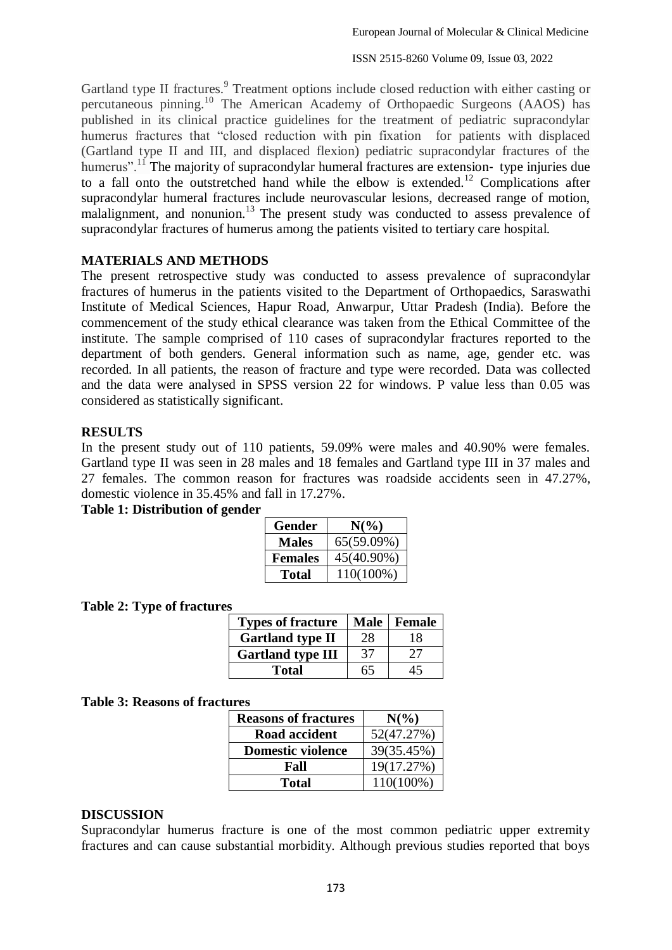Gartland type II fractures.<sup>9</sup> Treatment options include closed reduction with either casting or percutaneous pinning.<sup>10</sup> The American Academy of Orthopaedic Surgeons (AAOS) has published in its clinical practice guidelines for the treatment of pediatric supracondylar humerus fractures that "closed reduction with pin fixation for patients with displaced (Gartland type II and III, and displaced flexion) pediatric supracondylar fractures of the humerus".<sup>11</sup> The majority of supracondylar humeral fractures are extension-type injuries due to a fall onto the outstretched hand while the elbow is extended.<sup>12</sup> Complications after supracondylar humeral fractures include neurovascular lesions, decreased range of motion, malalignment, and nonunion.<sup>13</sup> The present study was conducted to assess prevalence of supracondylar fractures of humerus among the patients visited to tertiary care hospital.

### **MATERIALS AND METHODS**

The present retrospective study was conducted to assess prevalence of supracondylar fractures of humerus in the patients visited to the Department of Orthopaedics, Saraswathi Institute of Medical Sciences, Hapur Road, Anwarpur, Uttar Pradesh (India). Before the commencement of the study ethical clearance was taken from the Ethical Committee of the institute. The sample comprised of 110 cases of supracondylar fractures reported to the department of both genders. General information such as name, age, gender etc. was recorded. In all patients, the reason of fracture and type were recorded. Data was collected and the data were analysed in SPSS version 22 for windows. P value less than 0.05 was considered as statistically significant.

### **RESULTS**

In the present study out of 110 patients, 59.09% were males and 40.90% were females. Gartland type II was seen in 28 males and 18 females and Gartland type III in 37 males and 27 females. The common reason for fractures was roadside accidents seen in 47.27%, domestic violence in 35.45% and fall in 17.27%.

#### **Table 1: Distribution of gender**

| Gender         | $N(\%)$    |
|----------------|------------|
| <b>Males</b>   | 65(59.09%) |
| <b>Females</b> | 45(40.90%) |
| Total          | 110(100%)  |

#### **Table 2: Type of fractures**

| <b>Types of fracture</b> | <b>Male</b> | Female |
|--------------------------|-------------|--------|
| <b>Gartland type II</b>  | 28          | 18     |
| <b>Gartland type III</b> | 37          | 27     |
| <b>Total</b>             | 65          | 45     |

#### **Table 3: Reasons of fractures**

| <b>Reasons of fractures</b> | $N\binom{0}{0}$ |  |
|-----------------------------|-----------------|--|
| Road accident               | 52(47.27%)      |  |
| <b>Domestic violence</b>    | 39(35.45%)      |  |
| Fall                        | 19(17.27%)      |  |
| <b>Total</b>                | $110(100\%)$    |  |

#### **DISCUSSION**

Supracondylar humerus fracture is one of the most common pediatric upper extremity fractures and can cause substantial morbidity. Although previous studies reported that boys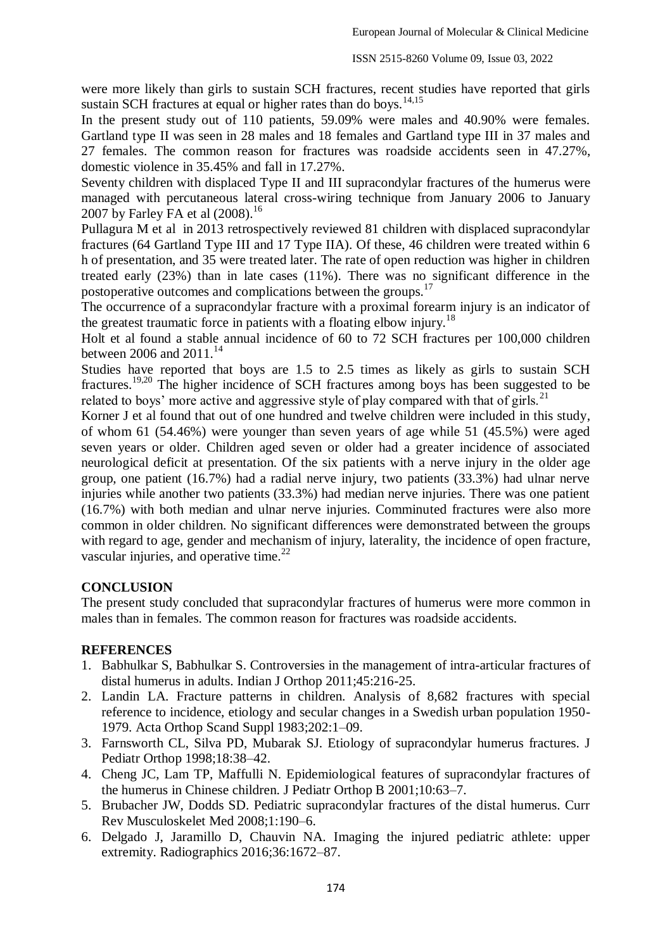were more likely than girls to sustain SCH fractures, recent studies have reported that girls sustain SCH fractures at equal or higher rates than do boys.<sup>14,15</sup>

In the present study out of 110 patients, 59.09% were males and 40.90% were females. Gartland type II was seen in 28 males and 18 females and Gartland type III in 37 males and 27 females. The common reason for fractures was roadside accidents seen in 47.27%, domestic violence in 35.45% and fall in 17.27%.

Seventy children with displaced Type II and III supracondylar fractures of the humerus were managed with percutaneous lateral cross-wiring technique from January 2006 to January 2007 by Farley FA et al (2008). 16

Pullagura M et al in 2013 retrospectively reviewed 81 children with displaced supracondylar fractures (64 Gartland Type III and 17 Type IIA). Of these, 46 children were treated within 6 h of presentation, and 35 were treated later. The rate of open reduction was higher in children treated early (23%) than in late cases (11%). There was no significant difference in the postoperative outcomes and complications between the groups.<sup>17</sup>

The occurrence of a supracondylar fracture with a proximal forearm injury is an indicator of the greatest traumatic force in patients with a floating elbow injury.<sup>18</sup>

Holt et al found a stable annual incidence of 60 to 72 SCH fractures per 100,000 children between 2006 and  $2011^{14}$ 

Studies have reported that boys are 1.5 to 2.5 times as likely as girls to sustain SCH fractures.19,20 The higher incidence of SCH fractures among boys has been suggested to be related to boys' more active and aggressive style of play compared with that of girls.<sup>21</sup>

Korner J et al found that out of one hundred and twelve children were included in this study, of whom 61 (54.46%) were younger than seven years of age while 51 (45.5%) were aged seven years or older. Children aged seven or older had a greater incidence of associated neurological deficit at presentation. Of the six patients with a nerve injury in the older age group, one patient (16.7%) had a radial nerve injury, two patients (33.3%) had ulnar nerve injuries while another two patients (33.3%) had median nerve injuries. There was one patient (16.7%) with both median and ulnar nerve injuries. Comminuted fractures were also more common in older children. No significant differences were demonstrated between the groups with regard to age, gender and mechanism of injury, laterality, the incidence of open fracture, vascular injuries, and operative time. $^{22}$ 

# **CONCLUSION**

The present study concluded that supracondylar fractures of humerus were more common in males than in females. The common reason for fractures was roadside accidents.

# **REFERENCES**

- 1. Babhulkar S, Babhulkar S. Controversies in the management of intra-articular fractures of distal humerus in adults. Indian J Orthop 2011;45:216-25.
- 2. Landin LA. Fracture patterns in children. Analysis of 8,682 fractures with special reference to incidence, etiology and secular changes in a Swedish urban population 1950- 1979. Acta Orthop Scand Suppl 1983;202:1–09.
- 3. Farnsworth CL, Silva PD, Mubarak SJ. Etiology of supracondylar humerus fractures. J Pediatr Orthop 1998;18:38–42.
- 4. Cheng JC, Lam TP, Maffulli N. Epidemiological features of supracondylar fractures of the humerus in Chinese children. J Pediatr Orthop B 2001;10:63–7.
- 5. Brubacher JW, Dodds SD. Pediatric supracondylar fractures of the distal humerus. Curr Rev Musculoskelet Med 2008;1:190–6.
- 6. Delgado J, Jaramillo D, Chauvin NA. Imaging the injured pediatric athlete: upper extremity. Radiographics 2016;36:1672–87.